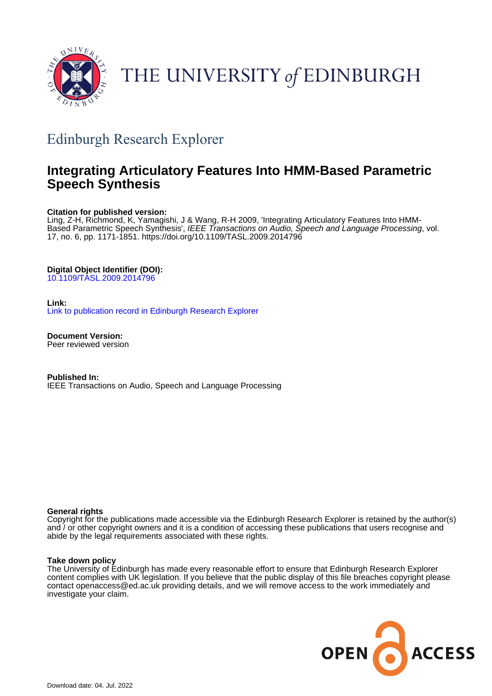

# THE UNIVERSITY of EDINBURGH

## Edinburgh Research Explorer

## **Integrating Articulatory Features Into HMM-Based Parametric Speech Synthesis**

## **Citation for published version:**

Ling, Z-H, Richmond, K, Yamagishi, J & Wang, R-H 2009, 'Integrating Articulatory Features Into HMM-Based Parametric Speech Synthesis', IEEE Transactions on Audio, Speech and Language Processing, vol. 17, no. 6, pp. 1171-1851. <https://doi.org/10.1109/TASL.2009.2014796>

## **Digital Object Identifier (DOI):**

[10.1109/TASL.2009.2014796](https://doi.org/10.1109/TASL.2009.2014796)

## **Link:**

[Link to publication record in Edinburgh Research Explorer](https://www.research.ed.ac.uk/en/publications/84b37979-95f8-41d1-9a08-f4fa96826096)

**Document Version:** Peer reviewed version

**Published In:** IEEE Transactions on Audio, Speech and Language Processing

### **General rights**

Copyright for the publications made accessible via the Edinburgh Research Explorer is retained by the author(s) and / or other copyright owners and it is a condition of accessing these publications that users recognise and abide by the legal requirements associated with these rights.

### **Take down policy**

The University of Edinburgh has made every reasonable effort to ensure that Edinburgh Research Explorer content complies with UK legislation. If you believe that the public display of this file breaches copyright please contact openaccess@ed.ac.uk providing details, and we will remove access to the work immediately and investigate your claim.

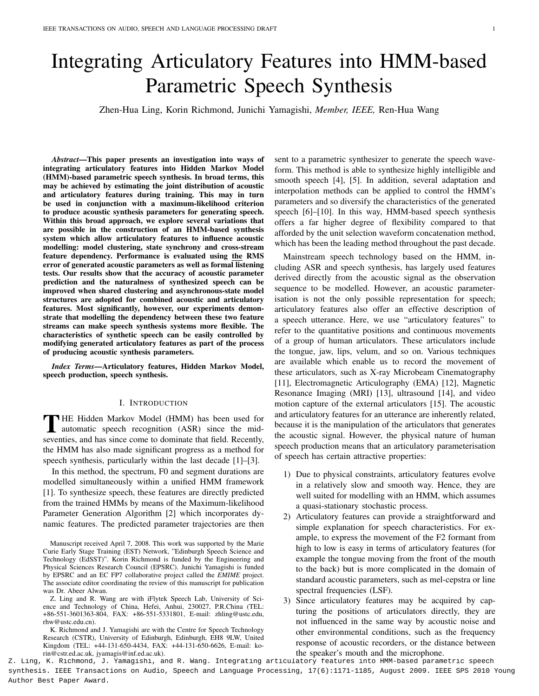# Integrating Articulatory Features into HMM-based Parametric Speech Synthesis

Zhen-Hua Ling, Korin Richmond, Junichi Yamagishi, *Member, IEEE,* Ren-Hua Wang

*Abstract*—This paper presents an investigation into ways of integrating articulatory features into Hidden Markov Model (HMM)-based parametric speech synthesis. In broad terms, this may be achieved by estimating the joint distribution of acoustic and articulatory features during training. This may in turn be used in conjunction with a maximum-likelihood criterion to produce acoustic synthesis parameters for generating speech. Within this broad approach, we explore several variations that are possible in the construction of an HMM-based synthesis system which allow articulatory features to influence acoustic modelling: model clustering, state synchrony and cross-stream feature dependency. Performance is evaluated using the RMS error of generated acoustic parameters as well as formal listening tests. Our results show that the accuracy of acoustic parameter prediction and the naturalness of synthesized speech can be improved when shared clustering and asynchronous-state model structures are adopted for combined acoustic and articulatory features. Most significantly, however, our experiments demonstrate that modelling the dependency between these two feature streams can make speech synthesis systems more flexible. The characteristics of synthetic speech can be easily controlled by modifying generated articulatory features as part of the process of producing acoustic synthesis parameters.

*Index Terms*—Articulatory features, Hidden Markov Model, speech production, speech synthesis.

#### I. INTRODUCTION

THE Hidden Markov Model (HMM) has been used for<br>automatic speech recognition (ASR) since the mid-<br>councile and because some to demine that field Boarding HE Hidden Markov Model (HMM) has been used for seventies, and has since come to dominate that field. Recently, the HMM has also made significant progress as a method for speech synthesis, particularly within the last decade [1]–[3].

In this method, the spectrum, F0 and segment durations are modelled simultaneously within a unified HMM framework [1]. To synthesize speech, these features are directly predicted from the trained HMMs by means of the Maximum-likelihood Parameter Generation Algorithm [2] which incorporates dynamic features. The predicted parameter trajectories are then

Manuscript received April 7, 2008. This work was supported by the Marie Curie Early Stage Training (EST) Network, "Edinburgh Speech Science and Technology (EdSST)". Korin Richmond is funded by the Engineering and Physical Sciences Research Council (EPSRC). Junichi Yamagishi is funded by EPSRC and an EC FP7 collaborative project called the *EMIME* project. The associate editor coordinating the review of this manuscript for publication was Dr. Abeer Alwan.

Z. Ling and R. Wang are with iFlytek Speech Lab, University of Science and Technology of China, Hefei, Anhui, 230027, P.R.China (TEL: +86-551-3601363-804, FAX: +86-551-5331801, E-mail: zhling@ustc.edu, rhw@ustc.edu.cn).

K. Richmond and J. Yamagishi are with the Centre for Speech Technology Research (CSTR), University of Edinburgh, Edinburgh, EH8 9LW, United Kingdom (TEL: +44-131-650-4434, FAX: +44-131-650-6626, E-mail: korin@cstr.ed.ac.uk, jyamagis@inf.ed.ac.uk).

sent to a parametric synthesizer to generate the speech waveform. This method is able to synthesize highly intelligible and smooth speech [4], [5]. In addition, several adaptation and interpolation methods can be applied to control the HMM's parameters and so diversify the characteristics of the generated speech [6]–[10]. In this way, HMM-based speech synthesis offers a far higher degree of flexibility compared to that afforded by the unit selection waveform concatenation method, which has been the leading method throughout the past decade.

Mainstream speech technology based on the HMM, including ASR and speech synthesis, has largely used features derived directly from the acoustic signal as the observation sequence to be modelled. However, an acoustic parameterisation is not the only possible representation for speech; articulatory features also offer an effective description of a speech utterance. Here, we use "articulatory features" to refer to the quantitative positions and continuous movements of a group of human articulators. These articulators include the tongue, jaw, lips, velum, and so on. Various techniques are available which enable us to record the movement of these articulators, such as X-ray Microbeam Cinematography [11], Electromagnetic Articulography (EMA) [12], Magnetic Resonance Imaging (MRI) [13], ultrasound [14], and video motion capture of the external articulators [15]. The acoustic and articulatory features for an utterance are inherently related, because it is the manipulation of the articulators that generates the acoustic signal. However, the physical nature of human speech production means that an articulatory parameterisation of speech has certain attractive properties:

- 1) Due to physical constraints, articulatory features evolve in a relatively slow and smooth way. Hence, they are well suited for modelling with an HMM, which assumes a quasi-stationary stochastic process.
- 2) Articulatory features can provide a straightforward and simple explanation for speech characteristics. For example, to express the movement of the F2 formant from high to low is easy in terms of articulatory features (for example the tongue moving from the front of the mouth to the back) but is more complicated in the domain of standard acoustic parameters, such as mel-cepstra or line spectral frequencies (LSF).
- 3) Since articulatory features may be acquired by capturing the positions of articulators directly, they are not influenced in the same way by acoustic noise and other environmental conditions, such as the frequency response of acoustic recorders, or the distance between the speaker's mouth and the microphone.

Z. Ling, K. Richmond, J. Yamagishi, and R. Wang. Integrating articulatory features into HMM-based parametric speech synthesis. IEEE Transactions on Audio, Speech and Language Processing, 17(6):1171-1185, August 2009. IEEE SPS 2010 Young Author Best Paper Award.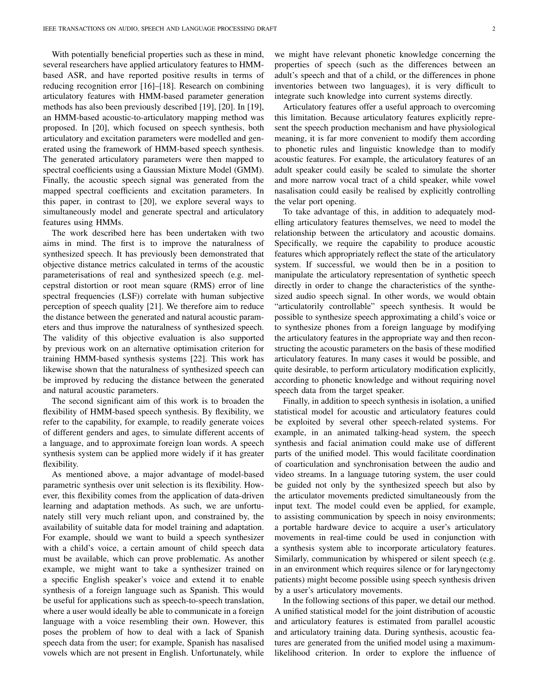With potentially beneficial properties such as these in mind, several researchers have applied articulatory features to HMMbased ASR, and have reported positive results in terms of reducing recognition error [16]–[18]. Research on combining articulatory features with HMM-based parameter generation methods has also been previously described [19], [20]. In [19], an HMM-based acoustic-to-articulatory mapping method was proposed. In [20], which focused on speech synthesis, both articulatory and excitation parameters were modelled and generated using the framework of HMM-based speech synthesis. The generated articulatory parameters were then mapped to spectral coefficients using a Gaussian Mixture Model (GMM). Finally, the acoustic speech signal was generated from the mapped spectral coefficients and excitation parameters. In this paper, in contrast to [20], we explore several ways to simultaneously model and generate spectral and articulatory features using HMMs.

The work described here has been undertaken with two aims in mind. The first is to improve the naturalness of synthesized speech. It has previously been demonstrated that objective distance metrics calculated in terms of the acoustic parameterisations of real and synthesized speech (e.g. melcepstral distortion or root mean square (RMS) error of line spectral frequencies (LSF)) correlate with human subjective perception of speech quality [21]. We therefore aim to reduce the distance between the generated and natural acoustic parameters and thus improve the naturalness of synthesized speech. The validity of this objective evaluation is also supported by previous work on an alternative optimisation criterion for training HMM-based synthesis systems [22]. This work has likewise shown that the naturalness of synthesized speech can be improved by reducing the distance between the generated and natural acoustic parameters.

The second significant aim of this work is to broaden the flexibility of HMM-based speech synthesis. By flexibility, we refer to the capability, for example, to readily generate voices of different genders and ages, to simulate different accents of a language, and to approximate foreign loan words. A speech synthesis system can be applied more widely if it has greater flexibility.

As mentioned above, a major advantage of model-based parametric synthesis over unit selection is its flexibility. However, this flexibility comes from the application of data-driven learning and adaptation methods. As such, we are unfortunately still very much reliant upon, and constrained by, the availability of suitable data for model training and adaptation. For example, should we want to build a speech synthesizer with a child's voice, a certain amount of child speech data must be available, which can prove problematic. As another example, we might want to take a synthesizer trained on a specific English speaker's voice and extend it to enable synthesis of a foreign language such as Spanish. This would be useful for applications such as speech-to-speech translation, where a user would ideally be able to communicate in a foreign language with a voice resembling their own. However, this poses the problem of how to deal with a lack of Spanish speech data from the user; for example, Spanish has nasalised vowels which are not present in English. Unfortunately, while

we might have relevant phonetic knowledge concerning the properties of speech (such as the differences between an adult's speech and that of a child, or the differences in phone inventories between two languages), it is very difficult to integrate such knowledge into current systems directly.

Articulatory features offer a useful approach to overcoming this limitation. Because articulatory features explicitly represent the speech production mechanism and have physiological meaning, it is far more convenient to modify them according to phonetic rules and linguistic knowledge than to modify acoustic features. For example, the articulatory features of an adult speaker could easily be scaled to simulate the shorter and more narrow vocal tract of a child speaker, while vowel nasalisation could easily be realised by explicitly controlling the velar port opening.

To take advantage of this, in addition to adequately modelling articulatory features themselves, we need to model the relationship between the articulatory and acoustic domains. Specifically, we require the capability to produce acoustic features which appropriately reflect the state of the articulatory system. If successful, we would then be in a position to manipulate the articulatory representation of synthetic speech directly in order to change the characteristics of the synthesized audio speech signal. In other words, we would obtain "articulatorily controllable" speech synthesis. It would be possible to synthesize speech approximating a child's voice or to synthesize phones from a foreign language by modifying the articulatory features in the appropriate way and then reconstructing the acoustic parameters on the basis of these modified articulatory features. In many cases it would be possible, and quite desirable, to perform articulatory modification explicitly, according to phonetic knowledge and without requiring novel speech data from the target speaker.

Finally, in addition to speech synthesis in isolation, a unified statistical model for acoustic and articulatory features could be exploited by several other speech-related systems. For example, in an animated talking-head system, the speech synthesis and facial animation could make use of different parts of the unified model. This would facilitate coordination of coarticulation and synchronisation between the audio and video streams. In a language tutoring system, the user could be guided not only by the synthesized speech but also by the articulator movements predicted simultaneously from the input text. The model could even be applied, for example, to assisting communication by speech in noisy environments; a portable hardware device to acquire a user's articulatory movements in real-time could be used in conjunction with a synthesis system able to incorporate articulatory features. Similarly, communication by whispered or silent speech (e.g. in an environment which requires silence or for laryngectomy patients) might become possible using speech synthesis driven by a user's articulatory movements.

In the following sections of this paper, we detail our method. A unified statistical model for the joint distribution of acoustic and articulatory features is estimated from parallel acoustic and articulatory training data. During synthesis, acoustic features are generated from the unified model using a maximumlikelihood criterion. In order to explore the influence of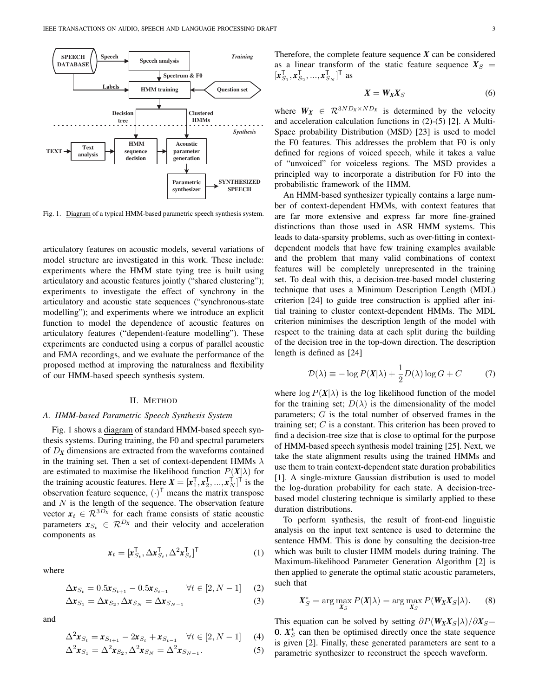

Fig. 1. Diagram of a typical HMM-based parametric speech synthesis system.

articulatory features on acoustic models, several variations of model structure are investigated in this work. These include: experiments where the HMM state tying tree is built using articulatory and acoustic features jointly ("shared clustering"); experiments to investigate the effect of synchrony in the articulatory and acoustic state sequences ("synchronous-state modelling"); and experiments where we introduce an explicit function to model the dependence of acoustic features on articulatory features ("dependent-feature modelling"). These experiments are conducted using a corpus of parallel acoustic and EMA recordings, and we evaluate the performance of the proposed method at improving the naturalness and flexibility of our HMM-based speech synthesis system.

#### II. METHOD

#### *A. HMM-based Parametric Speech Synthesis System*

Fig. 1 shows a diagram of standard HMM-based speech synthesis systems. During training, the F0 and spectral parameters of D*<sup>X</sup>* dimensions are extracted from the waveforms contained in the training set. Then a set of context-dependent HMMs  $\lambda$ are estimated to maximise the likelihood function  $P(X|\lambda)$  for the training acoustic features. Here  $X = [\mathbf{x}_1^T, \mathbf{x}_2^T, ..., \mathbf{x}_N^T]^T$  is the observation feature sequence,  $(\cdot)^T$  means the matrix transpose and  $N$  is the length of the sequence. The observation feature vector  $x_t \in \mathcal{R}^{3D_x}$  for each frame consists of static acoustic parameters  $x_{S_t} \in \mathcal{R}^{D_x}$  and their velocity and acceleration components as

 $\boldsymbol{x}_t = [\boldsymbol{x}_{S_t}^\textsf{T}, \Delta \boldsymbol{x}_{S_t}^\textsf{T}, \Delta^2 \boldsymbol{x}_{S_t}^\textsf{T}]^\textsf{T}$ 

where

$$
\Delta \mathbf{x}_{S_t} = 0.5 \mathbf{x}_{S_{t+1}} - 0.5 \mathbf{x}_{S_{t-1}} \qquad \forall t \in [2, N-1] \tag{2}
$$

(1)

$$
\Delta x_{S_1} = \Delta x_{S_2}, \Delta x_{S_N} = \Delta x_{S_{N-1}} \tag{3}
$$

and

$$
\Delta^2 \mathbf{x}_{S_t} = \mathbf{x}_{S_{t+1}} - 2\mathbf{x}_{S_t} + \mathbf{x}_{S_{t-1}} \quad \forall t \in [2, N-1] \tag{4}
$$

$$
\Delta^2 \mathbf{x}_{S_1} = \Delta^2 \mathbf{x}_{S_2}, \Delta^2 \mathbf{x}_{S_N} = \Delta^2 \mathbf{x}_{S_{N-1}}.
$$
\n<sup>(5)</sup>

Therefore, the complete feature sequence  $X$  can be considered as a linear transform of the static feature sequence  $X<sub>S</sub>$  =  $[x_{S_1}^{\mathsf{T}}, x_{S_2}^{\mathsf{T}}, ..., x_{S_N}^{\mathsf{T}}]^{\mathsf{T}}$  as

$$
X = W_X X_S \tag{6}
$$

where  $W_X \in \mathbb{R}^{3ND_X \times ND_X}$  is determined by the velocity and acceleration calculation functions in (2)-(5) [2]. A Multi-Space probability Distribution (MSD) [23] is used to model the F0 features. This addresses the problem that F0 is only defined for regions of voiced speech, while it takes a value of "unvoiced" for voiceless regions. The MSD provides a principled way to incorporate a distribution for F0 into the probabilistic framework of the HMM.

An HMM-based synthesizer typically contains a large number of context-dependent HMMs, with context features that are far more extensive and express far more fine-grained distinctions than those used in ASR HMM systems. This leads to data-sparsity problems, such as over-fitting in contextdependent models that have few training examples available and the problem that many valid combinations of context features will be completely unrepresented in the training set. To deal with this, a decision-tree-based model clustering technique that uses a Minimum Description Length (MDL) criterion [24] to guide tree construction is applied after initial training to cluster context-dependent HMMs. The MDL criterion minimises the description length of the model with respect to the training data at each split during the building of the decision tree in the top-down direction. The description length is defined as [24]

$$
\mathcal{D}(\lambda) \equiv -\log P(\mathbf{X}|\lambda) + \frac{1}{2}D(\lambda)\log G + C \tag{7}
$$

where  $\log P(X|\lambda)$  is the log likelihood function of the model for the training set;  $D(\lambda)$  is the dimensionality of the model parameters; G is the total number of observed frames in the training set;  $C$  is a constant. This criterion has been proved to find a decision-tree size that is close to optimal for the purpose of HMM-based speech synthesis model training [25]. Next, we take the state alignment results using the trained HMMs and use them to train context-dependent state duration probabilities [1]. A single-mixture Gaussian distribution is used to model the log-duration probability for each state. A decision-treebased model clustering technique is similarly applied to these duration distributions.

To perform synthesis, the result of front-end linguistic analysis on the input text sentence is used to determine the sentence HMM. This is done by consulting the decision-tree which was built to cluster HMM models during training. The Maximum-likelihood Parameter Generation Algorithm [2] is then applied to generate the optimal static acoustic parameters, such that

$$
X_S^* = \arg\max_{X_S} P(X|\lambda) = \arg\max_{X_S} P(W_X X_S|\lambda).
$$
 (8)

This equation can be solved by setting  $\partial P(W_X X_S|\lambda)/\partial X_S$ = 0.  $X_{S}^{*}$  can then be optimised directly once the state sequence is given [2]. Finally, these generated parameters are sent to a parametric synthesizer to reconstruct the speech waveform.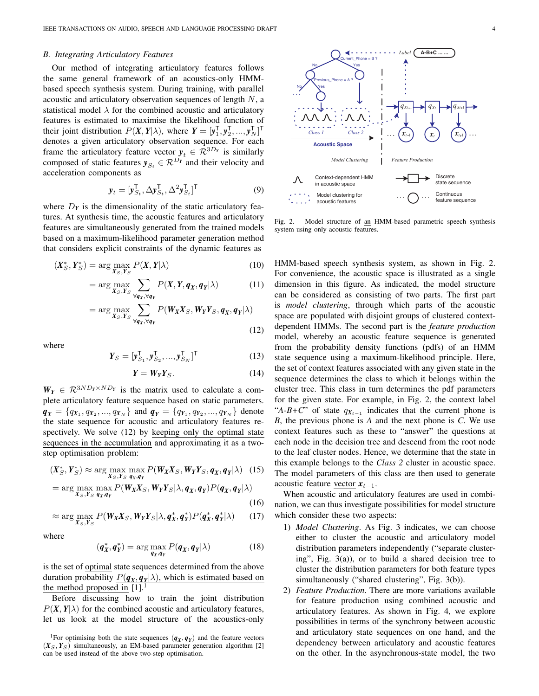#### *B. Integrating Articulatory Features*

Our method of integrating articulatory features follows the same general framework of an acoustics-only HMMbased speech synthesis system. During training, with parallel acoustic and articulatory observation sequences of length N, a statistical model  $\lambda$  for the combined acoustic and articulatory features is estimated to maximise the likelihood function of their joint distribution  $P(X, Y | \lambda)$ , where  $Y = [\mathbf{y}_1^{\mathsf{T}}, \mathbf{y}_2^{\mathsf{T}}, ..., \mathbf{y}_N^{\mathsf{T}}]^{\mathsf{T}}$ denotes a given articulatory observation sequence. For each frame the articulatory feature vector  $y_t \in \mathcal{R}^{3D_Y}$  is similarly composed of static features  $y_{S_t} \in \mathcal{R}^{D_Y}$  and their velocity and acceleration components as

$$
\mathbf{y}_t = [\mathbf{y}_{S_t}^\mathsf{T}, \Delta \mathbf{y}_{S_t}^\mathsf{T}, \Delta^2 \mathbf{y}_{S_t}^\mathsf{T}]^\mathsf{T} \tag{9}
$$

where  $D<sub>Y</sub>$  is the dimensionality of the static articulatory features. At synthesis time, the acoustic features and articulatory features are simultaneously generated from the trained models based on a maximum-likelihood parameter generation method that considers explicit constraints of the dynamic features as

$$
(\boldsymbol{X}_{S}^{*}, \boldsymbol{Y}_{S}^{*}) = \arg \max_{\boldsymbol{X}_{S}, \boldsymbol{Y}_{S}} P(\boldsymbol{X}, \boldsymbol{Y} | \lambda) \tag{10}
$$

$$
= \arg\max_{X_S, Y_S} \sum_{\forall q_X, \forall q_Y} P(X, Y, q_X, q_Y | \lambda)
$$
(11)  

$$
= \arg\max_{X_S, Y_S} \sum_{\forall q_Y, \forall q_Y} P(W_X X_S, W_Y Y_S, q_X, q_Y | \lambda)
$$

$$
X_S, Y_S \bigvee_{\forall q_X, \forall q_Y} (12)
$$

where

$$
\mathbf{Y}_S = [\mathbf{y}_{S_1}^{\mathsf{T}}, \mathbf{y}_{S_2}^{\mathsf{T}}, ..., \mathbf{y}_{S_N}^{\mathsf{T}}]^{\mathsf{T}}
$$
(13)

$$
Y = W_Y Y_S. \tag{14}
$$

 $W_Y \in \mathcal{R}^{3ND_Y \times ND_Y}$  is the matrix used to calculate a complete articulatory feature sequence based on static parameters.  $q_X = \{q_{X_1}, q_{X_2}, ..., q_{X_N}\}\$  and  $q_Y = \{q_{Y_1}, q_{Y_2}, ..., q_{Y_N}\}\$  denote the state sequence for acoustic and articulatory features respectively. We solve (12) by keeping only the optimal state sequences in the accumulation and approximating it as a twostep optimisation problem:

$$
(\boldsymbol{X}_{S}^{*}, \boldsymbol{Y}_{S}^{*}) \approx \arg\max_{\boldsymbol{X}_{S}, \boldsymbol{Y}_{S}} \max_{\boldsymbol{q}_{X}, \boldsymbol{q}_{Y}} P(\boldsymbol{W}_{\boldsymbol{X}} \boldsymbol{X}_{S}, \boldsymbol{W}_{\boldsymbol{Y}} \boldsymbol{Y}_{S}, \boldsymbol{q}_{\boldsymbol{X}}, \boldsymbol{q}_{Y} | \lambda) \quad (15)
$$

$$
= \arg\max_{X_S, Y_S} \max_{\boldsymbol{q}_X, \boldsymbol{q}_Y} P(\boldsymbol{W}_X X_S, \boldsymbol{W}_Y Y_S | \lambda, \boldsymbol{q}_X, \boldsymbol{q}_Y) P(\boldsymbol{q}_X, \boldsymbol{q}_Y | \lambda)
$$
\n(16)

$$
\approx \arg\max_{X_S, Y_S} P(W_X X_S, W_Y Y_S | \lambda, q_X^*, q_Y^*) P(q_X^*, q_Y^* | \lambda)
$$
 (17)

where

$$
(\boldsymbol{q}_X^*, \boldsymbol{q}_Y^*) = \arg\max_{\boldsymbol{q}_X, \boldsymbol{q}_Y} P(\boldsymbol{q}_X, \boldsymbol{q}_Y | \lambda) \tag{18}
$$

is the set of optimal state sequences determined from the above duration probability  $P(q_X, q_Y|\lambda)$ , which is estimated based on the method proposed in  $[1]$ .

Before discussing how to train the joint distribution  $P(X, Y | \lambda)$  for the combined acoustic and articulatory features, let us look at the model structure of the acoustics-only



Fig. 2. Model structure of an HMM-based parametric speech synthesis system using only acoustic features.

HMM-based speech synthesis system, as shown in Fig. 2. For convenience, the acoustic space is illustrated as a single dimension in this figure. As indicated, the model structure can be considered as consisting of two parts. The first part is *model clustering*, through which parts of the acoustic space are populated with disjoint groups of clustered contextdependent HMMs. The second part is the *feature production* model, whereby an acoustic feature sequence is generated from the probability density functions (pdfs) of an HMM state sequence using a maximum-likelihood principle. Here, the set of context features associated with any given state in the sequence determines the class to which it belongs within the cluster tree. This class in turn determines the pdf parameters for the given state. For example, in Fig. 2, the context label "*A-B*+*C*" of state  $q_{X_{t-1}}$  indicates that the current phone is *B*, the previous phone is *A* and the next phone is *C*. We use context features such as these to "answer" the questions at each node in the decision tree and descend from the root node to the leaf cluster nodes. Hence, we determine that the state in this example belongs to the *Class 2* cluster in acoustic space. The model parameters of this class are then used to generate acoustic feature vector  $x_{t-1}$ .

When acoustic and articulatory features are used in combination, we can thus investigate possibilities for model structure which consider these two aspects:

- 1) *Model Clustering*. As Fig. 3 indicates, we can choose either to cluster the acoustic and articulatory model distribution parameters independently ("separate clustering", Fig. 3(a)), or to build a shared decision tree to cluster the distribution parameters for both feature types simultaneously ("shared clustering", Fig. 3(b)).
- 2) *Feature Production*. There are more variations available for feature production using combined acoustic and articulatory features. As shown in Fig. 4, we explore possibilities in terms of the synchrony between acoustic and articulatory state sequences on one hand, and the dependency between articulatory and acoustic features on the other. In the asynchronous-state model, the two

<sup>&</sup>lt;sup>1</sup>For optimising both the state sequences  $(q_X, q_Y)$  and the feature vectors  $(X_S, Y_S)$  simultaneously, an EM-based parameter generation algorithm [2] can be used instead of the above two-step optimisation.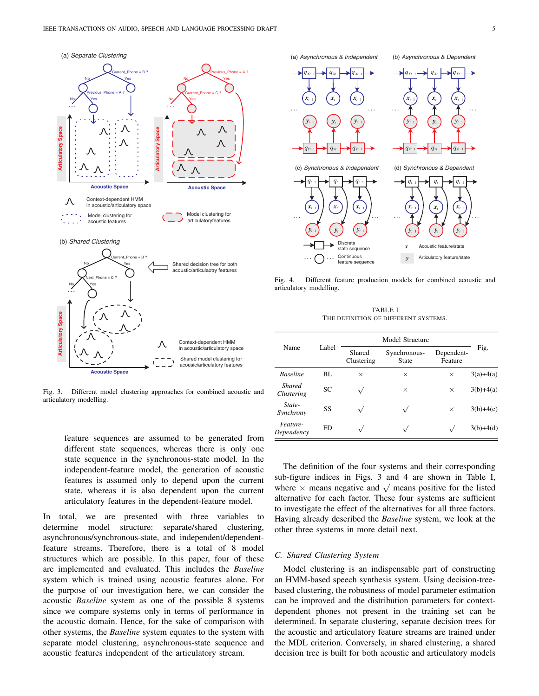

Fig. 3. Different model clustering approaches for combined acoustic and articulatory modelling.



Fig. 4. Different feature production models for combined acoustic and articulatory modelling.

TABLE I THE DEFINITION OF DIFFERENT SYSTEMS.

| Name                        | Label | Model Structure      |                       |                       |             |
|-----------------------------|-------|----------------------|-----------------------|-----------------------|-------------|
|                             |       | Shared<br>Clustering | Synchronous-<br>State | Dependent-<br>Feature | Fig.        |
| <b>Baseline</b>             | BL    | $\times$             | $\times$              | $\times$              | $3(a)+4(a)$ |
| <b>Shared</b><br>Clustering | SC.   |                      | $\times$              | $\times$              | $3(b)+4(a)$ |
| State-<br>Synchrony         | SS    |                      |                       | $\times$              | $3(b)+4(c)$ |
| Feature-<br>Dependency      | FD.   | $\sqrt{}$            |                       | $\sqrt{}$             | $3(b)+4(d)$ |

feature sequences are assumed to be generated from different state sequences, whereas there is only one state sequence in the synchronous-state model. In the independent-feature model, the generation of acoustic features is assumed only to depend upon the current state, whereas it is also dependent upon the current articulatory features in the dependent-feature model.

In total, we are presented with three variables to determine model structure: separate/shared clustering, asynchronous/synchronous-state, and independent/dependentfeature streams. Therefore, there is a total of 8 model structures which are possible. In this paper, four of these are implemented and evaluated. This includes the *Baseline* system which is trained using acoustic features alone. For the purpose of our investigation here, we can consider the acoustic *Baseline* system as one of the possible 8 systems since we compare systems only in terms of performance in the acoustic domain. Hence, for the sake of comparison with other systems, the *Baseline* system equates to the system with separate model clustering, asynchronous-state sequence and acoustic features independent of the articulatory stream.

The definition of the four systems and their corresponding sub-figure indices in Figs. 3 and 4 are shown in Table I, sub-lighter matches in Figs. 5 and 4 are shown in Table 1,<br>where  $\times$  means negative and  $\sqrt{\ }$  means positive for the listed alternative for each factor. These four systems are sufficient to investigate the effect of the alternatives for all three factors. Having already described the *Baseline* system, we look at the other three systems in more detail next.

#### *C. Shared Clustering System*

Model clustering is an indispensable part of constructing an HMM-based speech synthesis system. Using decision-treebased clustering, the robustness of model parameter estimation can be improved and the distribution parameters for contextdependent phones not present in the training set can be determined. In separate clustering, separate decision trees for the acoustic and articulatory feature streams are trained under the MDL criterion. Conversely, in shared clustering, a shared decision tree is built for both acoustic and articulatory models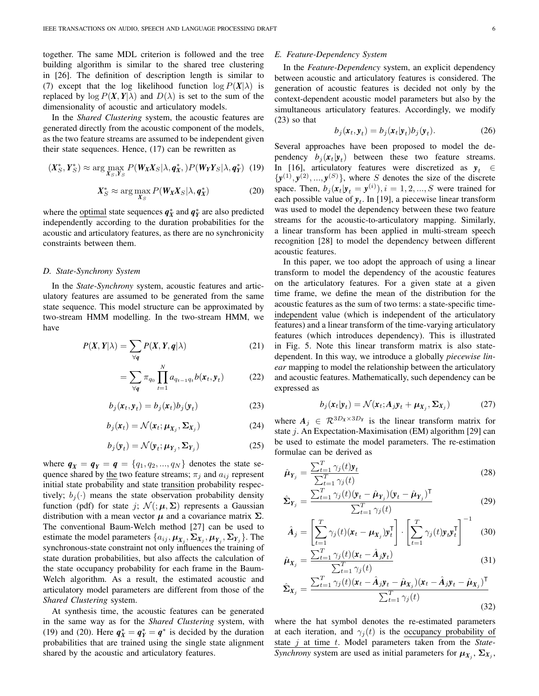together. The same MDL criterion is followed and the tree building algorithm is similar to the shared tree clustering in [26]. The definition of description length is similar to (7) except that the log likelihood function  $\log P(X|\lambda)$  is replaced by  $\log P(X, Y | \lambda)$  and  $D(\lambda)$  is set to the sum of the dimensionality of acoustic and articulatory models.

In the *Shared Clustering* system, the acoustic features are generated directly from the acoustic component of the models, as the two feature streams are assumed to be independent given their state sequences. Hence, (17) can be rewritten as

$$
(\boldsymbol{X}_{S}^{*}, \boldsymbol{Y}_{S}^{*}) \approx \arg\max_{\boldsymbol{X}_{S}, \boldsymbol{Y}_{S}} P(\boldsymbol{W}_{\boldsymbol{X}} \boldsymbol{X}_{S} | \lambda, \boldsymbol{q}_{\boldsymbol{X}}^{*}, ) P(\boldsymbol{W}_{\boldsymbol{Y}} \boldsymbol{Y}_{S} | \lambda, \boldsymbol{q}_{\boldsymbol{Y}}^{*}) \tag{19}
$$

$$
X_S^* \approx \arg\max_{X_S} P(W_X X_S | \lambda, \boldsymbol{q}_X^*)
$$
 (20)

where the <u>optimal</u> state sequences  $q_X^*$  and  $q_Y^*$  are also predicted independently according to the duration probabilities for the acoustic and articulatory features, as there are no synchronicity constraints between them.

#### *D. State-Synchrony System*

In the *State-Synchrony* system, acoustic features and articulatory features are assumed to be generated from the same state sequence. This model structure can be approximated by two-stream HMM modelling. In the two-stream HMM, we have

$$
P(X, Y | \lambda) = \sum_{\forall q} P(X, Y, q | \lambda)
$$
 (21)

$$
= \sum_{\forall q} \pi_{q_0} \prod_{t=1}^{N} a_{q_{t-1}q_t} b(\boldsymbol{x}_t, \boldsymbol{y}_t)
$$
(22)

$$
b_j(\mathbf{x}_t, \mathbf{y}_t) = b_j(\mathbf{x}_t) b_j(\mathbf{y}_t)
$$
\n(23)

$$
b_j(\mathbf{x}_t) = \mathcal{N}(\mathbf{x}_t; \boldsymbol{\mu}_{X_j}, \boldsymbol{\Sigma}_{X_j})
$$
 (24)

$$
b_j(\mathbf{y}_t) = \mathcal{N}(\mathbf{y}_t; \boldsymbol{\mu}_{Y_j}, \boldsymbol{\Sigma}_{Y_j})
$$
 (25)

where  $q_X = q_Y = q = \{q_1, q_2, ..., q_N\}$  denotes the state sequence shared by the two feature streams;  $\pi_i$  and  $a_{ij}$  represent initial state probability and state transition probability respectively;  $b_i(\cdot)$  means the state observation probability density function (pdf) for state j;  $\mathcal{N}(\cdot;\mu,\Sigma)$  represents a Gaussian distribution with a mean vector  $\mu$  and a covariance matrix  $\Sigma$ . The conventional Baum-Welch method [27] can be used to estimate the model parameters  $\{a_{ij}, \mu_{X_j}, \Sigma_{X_j}, \mu_{Y_j}, \Sigma_{Y_j}\}$ . The synchronous-state constraint not only influences the training of state duration probabilities, but also affects the calculation of the state occupancy probability for each frame in the Baum-Welch algorithm. As a result, the estimated acoustic and articulatory model parameters are different from those of the *Shared Clustering* system.

At synthesis time, the acoustic features can be generated in the same way as for the *Shared Clustering* system, with (19) and (20). Here  $q_X^* = q_Y^* = q^*$  is decided by the duration probabilities that are trained using the single state alignment shared by the acoustic and articulatory features.

#### *E. Feature-Dependency System*

In the *Feature-Dependency* system, an explicit dependency between acoustic and articulatory features is considered. The generation of acoustic features is decided not only by the context-dependent acoustic model parameters but also by the simultaneous articulatory features. Accordingly, we modify (23) so that

$$
b_j(\mathbf{x}_t, \mathbf{y}_t) = b_j(\mathbf{x}_t | \mathbf{y}_t) b_j(\mathbf{y}_t). \tag{26}
$$

Several approaches have been proposed to model the dependency  $b_j(\mathbf{x}_t|\mathbf{y}_t)$  between these two feature streams. In [16], articulatory features were discretized as  $y_t \in$  $\{y^{(1)}, y^{(2)}, ..., y^{(S)}\}$ , where S denotes the size of the discrete space. Then,  $b_j(\mathbf{x}_t|\mathbf{y}_t = \mathbf{y}^{(i)}), i = 1, 2, ..., S$  were trained for each possible value of  $y_t$ . In [19], a piecewise linear transform was used to model the dependency between these two feature streams for the acoustic-to-articulatory mapping. Similarly, a linear transform has been applied in multi-stream speech recognition [28] to model the dependency between different acoustic features.

In this paper, we too adopt the approach of using a linear transform to model the dependency of the acoustic features on the articulatory features. For a given state at a given time frame, we define the mean of the distribution for the acoustic features as the sum of two terms: a state-specific timeindependent value (which is independent of the articulatory features) and a linear transform of the time-varying articulatory features (which introduces dependency). This is illustrated in Fig. 5. Note this linear transform matrix is also statedependent. In this way, we introduce a globally *piecewise linear* mapping to model the relationship between the articulatory and acoustic features. Mathematically, such dependency can be expressed as

$$
b_j(\mathbf{x}_t|\mathbf{y}_t) = \mathcal{N}(\mathbf{x}_t; A_j \mathbf{y}_t + \boldsymbol{\mu}_{X_j}, \boldsymbol{\Sigma}_{X_j})
$$
(27)

where  $A_j \in \mathcal{R}^{3D_x \times 3D_y}$  is the linear transform matrix for state  $j$ . An Expectation-Maximisation (EM) algorithm [29] can be used to estimate the model parameters. The re-estimation formulae can be derived as

$$
\hat{\mu}_{Y_j} = \frac{\sum_{t=1}^T \gamma_j(t) \mathbf{y}_t}{\sum_{t=1}^T \gamma_j(t)} \tag{28}
$$

$$
\hat{\Sigma}_{Y_j} = \frac{\sum_{t=1}^T \gamma_j(t)(\mathbf{y}_t - \hat{\boldsymbol{\mu}}_{Y_j})(\mathbf{y}_t - \hat{\boldsymbol{\mu}}_{Y_j})^\mathsf{T}}{\sum_{t=1}^T \gamma_j(t)}
$$
(29)

$$
\hat{A}_j = \left[\sum_{t=1}^T \gamma_j(t)(\mathbf{x}_t - \boldsymbol{\mu}_{\mathbf{X}_j}) \mathbf{y}_t^{\mathsf{T}}\right] \cdot \left[\sum_{t=1}^T \gamma_j(t) \mathbf{y}_t \mathbf{y}_t^{\mathsf{T}}\right]^{-1} \quad (30)
$$

$$
\hat{\boldsymbol{\mu}}_{X_j} = \frac{\sum_{t=1}^T \gamma_j(t)(\mathbf{x}_t - \hat{\mathbf{A}}_j \mathbf{y}_t)}{\sum_{t=1}^T \gamma_j(t)}
$$
(31)

$$
\hat{\Sigma}_{X_j} = \frac{\sum_{t=1}^T \gamma_j(t)(\mathbf{x}_t - \hat{A}_j \mathbf{y}_t - \hat{\boldsymbol{\mu}}_{X_j})(\mathbf{x}_t - \hat{A}_j \mathbf{y}_t - \hat{\boldsymbol{\mu}}_{X_j})^\mathsf{T}}{\sum_{t=1}^T \gamma_j(t)}
$$
(32)

where the hat symbol denotes the re-estimated parameters at each iteration, and  $\gamma_j(t)$  is the occupancy probability of state j at time t. Model parameters taken from the *State-Synchrony* system are used as initial parameters for  $\mu_{X_j}$ ,  $\Sigma_{X_j}$ ,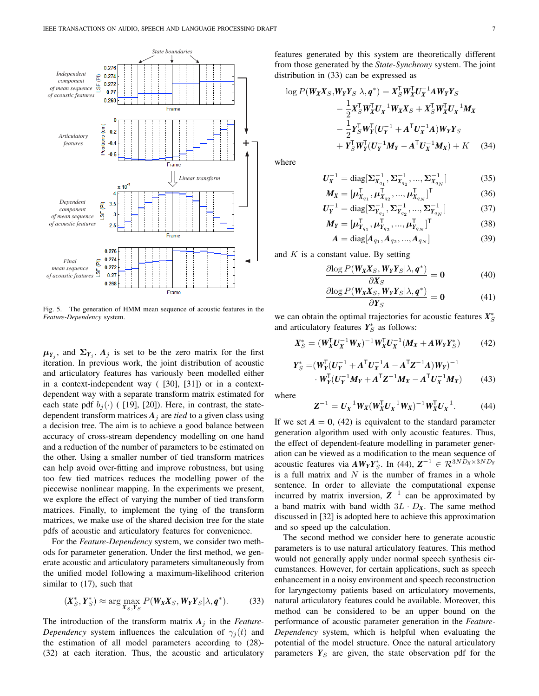

Fig. 5. The generation of HMM mean sequence of acoustic features in the *Feature-Dependency* system.

 $\mu_{Y_j}$ , and  $\Sigma_{Y_j}$ .  $A_j$  is set to be the zero matrix for the first iteration. In previous work, the joint distribution of acoustic and articulatory features has variously been modelled either in a context-independent way ( [30], [31]) or in a contextdependent way with a separate transform matrix estimated for each state pdf  $b_i(\cdot)$  ( [19], [20]). Here, in contrast, the statedependent transform matrices  $A_j$  are *tied* to a given class using a decision tree. The aim is to achieve a good balance between accuracy of cross-stream dependency modelling on one hand and a reduction of the number of parameters to be estimated on the other. Using a smaller number of tied transform matrices can help avoid over-fitting and improve robustness, but using too few tied matrices reduces the modelling power of the piecewise nonlinear mapping. In the experiments we present, we explore the effect of varying the number of tied transform matrices. Finally, to implement the tying of the transform matrices, we make use of the shared decision tree for the state pdfs of acoustic and articulatory features for convenience.

For the *Feature-Dependency* system, we consider two methods for parameter generation. Under the first method, we generate acoustic and articulatory parameters simultaneously from the unified model following a maximum-likelihood criterion similar to  $(17)$ , such that

$$
\left(X_S^*, Y_S^*\right) \approx \arg\max_{X_S, Y_S} P(W_X X_S, W_Y Y_S | \lambda, q^*). \tag{33}
$$

The introduction of the transform matrix  $A_j$  in the *Feature*-*Dependency* system influences the calculation of  $\gamma_i(t)$  and the estimation of all model parameters according to (28)- (32) at each iteration. Thus, the acoustic and articulatory features generated by this system are theoretically different from those generated by the *State-Synchrony* system. The joint distribution in (33) can be expressed as

$$
\log P(W_X X_S, W_Y Y_S | \lambda, q^*) = X_S^{\mathsf{T}} W_X^{\mathsf{T}} U_X^{-1} A W_Y Y_S \n- \frac{1}{2} X_S^{\mathsf{T}} W_X^{\mathsf{T}} U_X^{-1} W_X X_S + X_S^{\mathsf{T}} W_X^{\mathsf{T}} U_X^{-1} M_X \n- \frac{1}{2} Y_S^{\mathsf{T}} W_Y^{\mathsf{T}} (U_Y^{-1} + A^{\mathsf{T}} U_X^{-1} A) W_Y Y_S \n+ Y_S^{\mathsf{T}} W_Y^{\mathsf{T}} (U_Y^{-1} M_Y - A^{\mathsf{T}} U_X^{-1} M_X) + K \quad (34)
$$

where

$$
U_X^{-1} = \text{diag}[\Sigma_{X_{q_1}}^{-1}, \Sigma_{X_{q_2}}^{-1}, ..., \Sigma_{X_{q_N}}^{-1}]
$$
 (35)

$$
M_X = [\mu_{X_{q_1}}^{\mathsf{T}}, \mu_{X_{q_2}}^{\mathsf{T}}, ..., \mu_{X_{q_N}}^{\mathsf{T}}]^{\mathsf{T}}
$$
(36)

$$
U_Y^{-1} = \text{diag}[\Sigma_{Y_{q_1}}^{-1}, \Sigma_{Y_{q_2}}^{-1}, ..., \Sigma_{Y_{q_N}}^{-1}]
$$
(37)

$$
M_Y = [\mu_{Y_{q_1}}^{\mathsf{T}}, \mu_{Y_{q_2}}^{\mathsf{T}}, ..., \mu_{Y_{q_N}}^{\mathsf{T}}]^{\mathsf{T}}
$$
(38)

$$
A = \text{diag}[A_{q_1}, A_{q_2}, ..., A_{q_N}] \tag{39}
$$

and  $K$  is a constant value. By setting

$$
\frac{\partial \log P(W_X X_S, W_Y Y_S | \lambda, \boldsymbol{q}^*)}{\partial X_S} = 0 \tag{40}
$$

$$
\frac{\partial \log P(\mathbf{W}_X \mathbf{X}_S, \mathbf{W}_Y \mathbf{Y}_S | \lambda, \mathbf{q}^*)}{\partial \mathbf{Y}_S} = \mathbf{0}
$$
(41)

we can obtain the optimal trajectories for acoustic features  $X^*_S$ and articulatory features  $Y_S^*$  as follows:

$$
X_S^* = (W_X^{\mathsf{T}} U_X^{-1} W_X)^{-1} W_X^{\mathsf{T}} U_X^{-1} (M_X + A W_Y Y_S^*)
$$
(42)

$$
Y_S^* = (W_Y^{\mathsf{T}} (U_Y^{-1} + A^{\mathsf{T}} U_X^{-1} A - A^{\mathsf{T}} Z^{-1} A) W_Y)^{-1}
$$
  
 
$$
\cdot W_Y^{\mathsf{T}} (U_Y^{-1} M_Y + A^{\mathsf{T}} Z^{-1} M_X - A^{\mathsf{T}} U_X^{-1} M_X)
$$
(43)

where

$$
Z^{-1} = U_X^{-1} W_X (W_X^{\mathsf{T}} U_X^{-1} W_X)^{-1} W_X^{\mathsf{T}} U_X^{-1}.
$$
 (44)

If we set  $A = 0$ , (42) is equivalent to the standard parameter generation algorithm used with only acoustic features. Thus, the effect of dependent-feature modelling in parameter generation can be viewed as a modification to the mean sequence of acoustic features via  $AW_YY^*_S$ . In (44),  $Z^{-1} \in \mathcal{R}^{3ND_X \times 3ND_Y}$ is a full matrix and  $N$  is the number of frames in a whole sentence. In order to alleviate the computational expense incurred by matrix inversion,  $Z^{-1}$  can be approximated by a band matrix with band width  $3L \cdot D_X$ . The same method discussed in [32] is adopted here to achieve this approximation and so speed up the calculation.

The second method we consider here to generate acoustic parameters is to use natural articulatory features. This method would not generally apply under normal speech synthesis circumstances. However, for certain applications, such as speech enhancement in a noisy environment and speech reconstruction for laryngectomy patients based on articulatory movements, natural articulatory features could be available. Moreover, this method can be considered to be an upper bound on the performance of acoustic parameter generation in the *Feature-Dependency* system, which is helpful when evaluating the potential of the model structure. Once the natural articulatory parameters  $Y_{S}$  are given, the state observation pdf for the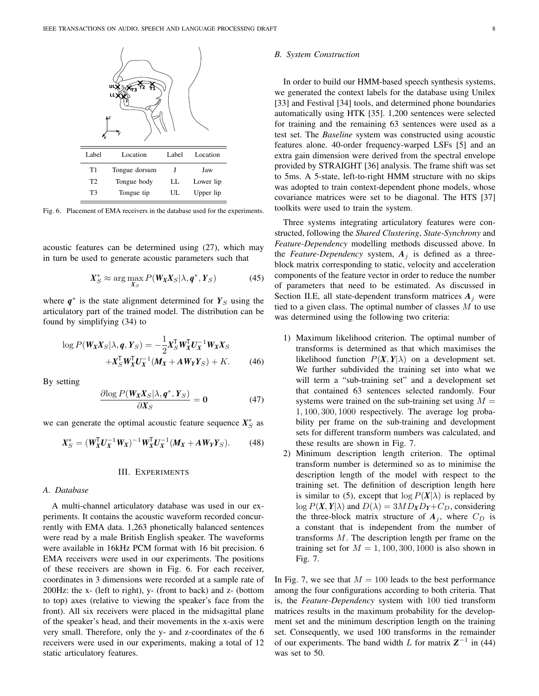

Fig. 6. Placement of EMA receivers in the database used for the experiments.

acoustic features can be determined using (27), which may in turn be used to generate acoustic parameters such that

$$
X_S^* \approx \arg\max_{X_S} P(W_X X_S | \lambda, \boldsymbol{q}^*, Y_S)
$$
 (45)

where  $q^*$  is the state alignment determined for  $Y_S$  using the articulatory part of the trained model. The distribution can be found by simplifying (34) to

$$
\log P(W_X X_S | \lambda, \boldsymbol{q}, Y_S) = -\frac{1}{2} X_S^{\mathsf{T}} W_X^{\mathsf{T}} U_X^{-1} W_X X_S + X_S^{\mathsf{T}} W_X^{\mathsf{T}} U_X^{-1} (M_X + A W_Y Y_S) + K.
$$
 (46)

By setting

$$
\frac{\partial \log P(\mathbf{W}_X \mathbf{X}_S | \lambda, \mathbf{q}^*, \mathbf{Y}_S)}{\partial \mathbf{X}_S} = \mathbf{0}
$$
 (47)

we can generate the optimal acoustic feature sequence  $X_S^*$  as

$$
X_{S}^{*} = (W_{X}^{T}U_{X}^{-1}W_{X})^{-1}W_{X}^{T}U_{X}^{-1}(M_{X} + AW_{Y}Y_{S}).
$$
 (48)

#### III. EXPERIMENTS

#### *A. Database*

A multi-channel articulatory database was used in our experiments. It contains the acoustic waveform recorded concurrently with EMA data. 1,263 phonetically balanced sentences were read by a male British English speaker. The waveforms were available in 16kHz PCM format with 16 bit precision. 6 EMA receivers were used in our experiments. The positions of these receivers are shown in Fig. 6. For each receiver, coordinates in 3 dimensions were recorded at a sample rate of 200Hz: the x- (left to right), y- (front to back) and z- (bottom to top) axes (relative to viewing the speaker's face from the front). All six receivers were placed in the midsagittal plane of the speaker's head, and their movements in the x-axis were very small. Therefore, only the y- and z-coordinates of the 6 receivers were used in our experiments, making a total of 12 static articulatory features.

#### *B. System Construction*

In order to build our HMM-based speech synthesis systems, we generated the context labels for the database using Unilex [33] and Festival [34] tools, and determined phone boundaries automatically using HTK [35]. 1,200 sentences were selected for training and the remaining 63 sentences were used as a test set. The *Baseline* system was constructed using acoustic features alone. 40-order frequency-warped LSFs [5] and an extra gain dimension were derived from the spectral envelope provided by STRAIGHT [36] analysis. The frame shift was set to 5ms. A 5-state, left-to-right HMM structure with no skips was adopted to train context-dependent phone models, whose covariance matrices were set to be diagonal. The HTS [37] toolkits were used to train the system.

Three systems integrating articulatory features were constructed, following the *Shared Clustering*, *State-Synchrony* and *Feature-Dependency* modelling methods discussed above. In the *Feature-Dependency* system,  $A_i$  is defined as a threeblock matrix corresponding to static, velocity and acceleration components of the feature vector in order to reduce the number of parameters that need to be estimated. As discussed in Section II.E, all state-dependent transform matrices  $A_i$  were tied to a given class. The optimal number of classes  $M$  to use was determined using the following two criteria:

- 1) Maximum likelihood criterion. The optimal number of transforms is determined as that which maximises the likelihood function  $P(X, Y | \lambda)$  on a development set. We further subdivided the training set into what we will term a "sub-training set" and a development set that contained 63 sentences selected randomly. Four systems were trained on the sub-training set using  $M =$ 1, 100, 300, 1000 respectively. The average log probability per frame on the sub-training and development sets for different transform numbers was calculated, and these results are shown in Fig. 7.
- 2) Minimum description length criterion. The optimal transform number is determined so as to minimise the description length of the model with respect to the training set. The definition of description length here is similar to (5), except that  $\log P(X|\lambda)$  is replaced by  $\log P(X, Y | \lambda)$  and  $D(\lambda) = 3MD_XD_Y + C_D$ , considering the three-block matrix structure of  $A_j$ , where  $C_D$  is a constant that is independent from the number of transforms M. The description length per frame on the training set for  $M = 1,100,300,1000$  is also shown in Fig. 7.

In Fig. 7, we see that  $M = 100$  leads to the best performance among the four configurations according to both criteria. That is, the *Feature-Dependency* system with 100 tied transform matrices results in the maximum probability for the development set and the minimum description length on the training set. Consequently, we used 100 transforms in the remainder of our experiments. The band width  $L$  for matrix  $Z^{-1}$  in (44) was set to 50.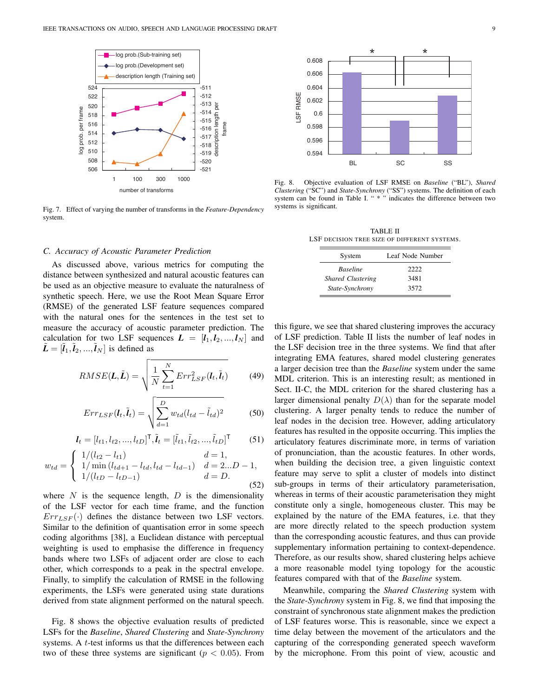

Fig. 7. Effect of varying the number of transforms in the *Feature-Dependency* system.

#### *C. Accuracy of Acoustic Parameter Prediction*

As discussed above, various metrics for computing the distance between synthesized and natural acoustic features can be used as an objective measure to evaluate the naturalness of synthetic speech. Here, we use the Root Mean Square Error (RMSE) of the generated LSF feature sequences compared with the natural ones for the sentences in the test set to measure the accuracy of acoustic parameter prediction. The calculation for two LSF sequences  $L = [l_1, l_2, ..., l_N]$  and  $\tilde{\mathbf{L}} = [\tilde{l}_1, \tilde{l}_2, ..., \tilde{l}_N]$  is defined as

$$
RMSE(\boldsymbol{L}, \tilde{\boldsymbol{L}}) = \sqrt{\frac{1}{N} \sum_{t=1}^{N} Err_{LSF}^{2}(\boldsymbol{l}_{t}, \tilde{\boldsymbol{l}}_{t})}
$$
(49)

$$
Err_{LSF}(l_t, \tilde{l}_t) = \sqrt{\sum_{d=1}^{D} w_{td}(l_{td} - \tilde{l}_{td})^2}
$$
 (50)

$$
\boldsymbol{l}_t = [l_{t1}, l_{t2}, ..., l_{tD}]^\mathsf{T}, \tilde{\boldsymbol{l}}_t = [\tilde{l}_{t1}, \tilde{l}_{t2}, ..., \tilde{l}_{tD}]^\mathsf{T} \tag{51}
$$

$$
w_{td} = \begin{cases} 1/(l_{t2} - l_{t1}) & d = 1, \\ 1/\min(l_{td+1} - l_{td}, l_{td} - l_{td-1}) & d = 2...D - 1, \\ 1/(l_{tD} - l_{tD-1}) & d = D. \end{cases}
$$
(52)

where  $N$  is the sequence length,  $D$  is the dimensionality of the LSF vector for each time frame, and the function  $Err_{LSF}(\cdot)$  defines the distance between two LSF vectors. Similar to the definition of quantisation error in some speech coding algorithms [38], a Euclidean distance with perceptual weighting is used to emphasise the difference in frequency bands where two LSFs of adjacent order are close to each other, which corresponds to a peak in the spectral envelope. Finally, to simplify the calculation of RMSE in the following experiments, the LSFs were generated using state durations derived from state alignment performed on the natural speech.

Fig. 8 shows the objective evaluation results of predicted LSFs for the *Baseline*, *Shared Clustering* and *State-Synchrony* systems. A  $t$ -test informs us that the differences between each two of these three systems are significant ( $p < 0.05$ ). From



Fig. 8. Objective evaluation of LSF RMSE on *Baseline* ("BL"), *Shared Clustering* ("SC") and *State-Synchrony* ("SS") systems. The definition of each system can be found in Table I. " \* " indicates the difference between two systems is significant.

TABLE II LSF DECISION TREE SIZE OF DIFFERENT SYSTEMS.

| System                   | Leaf Node Number |  |
|--------------------------|------------------|--|
| <b>Baseline</b>          | 2222             |  |
| <b>Shared Clustering</b> | 3481             |  |
| State-Synchrony          | 3572             |  |

this figure, we see that shared clustering improves the accuracy of LSF prediction. Table II lists the number of leaf nodes in the LSF decision tree in the three systems. We find that after integrating EMA features, shared model clustering generates a larger decision tree than the *Baseline* system under the same MDL criterion. This is an interesting result; as mentioned in Sect. II-C, the MDL criterion for the shared clustering has a larger dimensional penalty  $D(\lambda)$  than for the separate model clustering. A larger penalty tends to reduce the number of leaf nodes in the decision tree. However, adding articulatory features has resulted in the opposite occurring. This implies the articulatory features discriminate more, in terms of variation of pronunciation, than the acoustic features. In other words, when building the decision tree, a given linguistic context feature may serve to split a cluster of models into distinct sub-groups in terms of their articulatory parameterisation, whereas in terms of their acoustic parameterisation they might constitute only a single, homogeneous cluster. This may be explained by the nature of the EMA features, i.e. that they are more directly related to the speech production system than the corresponding acoustic features, and thus can provide supplementary information pertaining to context-dependence. Therefore, as our results show, shared clustering helps achieve a more reasonable model tying topology for the acoustic features compared with that of the *Baseline* system.

Meanwhile, comparing the *Shared Clustering* system with the *State-Synchrony* system in Fig. 8, we find that imposing the constraint of synchronous state alignment makes the prediction of LSF features worse. This is reasonable, since we expect a time delay between the movement of the articulators and the capturing of the corresponding generated speech waveform by the microphone. From this point of view, acoustic and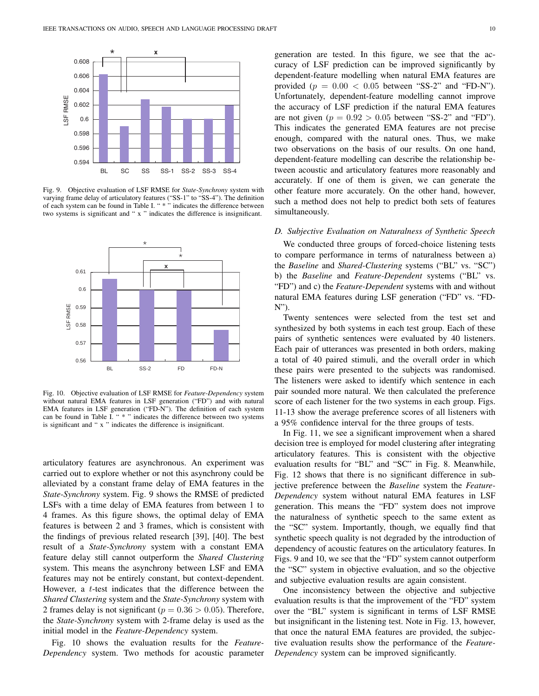

Fig. 9. Objective evaluation of LSF RMSE for *State-Synchrony* system with varying frame delay of articulatory features ("SS-1" to "SS-4"). The definition of each system can be found in Table I. " \* " indicates the difference between two systems is significant and " x " indicates the difference is insignificant.



Fig. 10. Objective evaluation of LSF RMSE for *Feature-Dependency* system without natural EMA features in LSF generation ("FD") and with natural EMA features in LSF generation ("FD-N"). The definition of each system can be found in Table I. " \* " indicates the difference between two systems is significant and " x " indicates the difference is insignificant.

articulatory features are asynchronous. An experiment was carried out to explore whether or not this asynchrony could be alleviated by a constant frame delay of EMA features in the *State-Synchrony* system. Fig. 9 shows the RMSE of predicted LSFs with a time delay of EMA features from between 1 to 4 frames. As this figure shows, the optimal delay of EMA features is between 2 and 3 frames, which is consistent with the findings of previous related research [39], [40]. The best result of a *State-Synchrony* system with a constant EMA feature delay still cannot outperform the *Shared Clustering* system. This means the asynchrony between LSF and EMA features may not be entirely constant, but context-dependent. However, a t-test indicates that the difference between the *Shared Clustering* system and the *State-Synchrony* system with 2 frames delay is not significant ( $p = 0.36 > 0.05$ ). Therefore, the *State-Synchrony* system with 2-frame delay is used as the initial model in the *Feature-Dependency* system.

Fig. 10 shows the evaluation results for the *Feature-Dependency* system. Two methods for acoustic parameter

generation are tested. In this figure, we see that the accuracy of LSF prediction can be improved significantly by dependent-feature modelling when natural EMA features are provided ( $p = 0.00 < 0.05$  between "SS-2" and "FD-N"). Unfortunately, dependent-feature modelling cannot improve the accuracy of LSF prediction if the natural EMA features are not given ( $p = 0.92 > 0.05$  between "SS-2" and "FD"). This indicates the generated EMA features are not precise enough, compared with the natural ones. Thus, we make two observations on the basis of our results. On one hand, dependent-feature modelling can describe the relationship between acoustic and articulatory features more reasonably and accurately. If one of them is given, we can generate the other feature more accurately. On the other hand, however, such a method does not help to predict both sets of features simultaneously.

#### *D. Subjective Evaluation on Naturalness of Synthetic Speech*

We conducted three groups of forced-choice listening tests to compare performance in terms of naturalness between a) the *Baseline* and *Shared-Clustering* systems ("BL" vs. "SC") b) the *Baseline* and *Feature-Dependent* systems ("BL" vs. "FD") and c) the *Feature-Dependent* systems with and without natural EMA features during LSF generation ("FD" vs. "FD-N").

Twenty sentences were selected from the test set and synthesized by both systems in each test group. Each of these pairs of synthetic sentences were evaluated by 40 listeners. Each pair of utterances was presented in both orders, making a total of 40 paired stimuli, and the overall order in which these pairs were presented to the subjects was randomised. The listeners were asked to identify which sentence in each pair sounded more natural. We then calculated the preference score of each listener for the two systems in each group. Figs. 11-13 show the average preference scores of all listeners with a 95% confidence interval for the three groups of tests.

In Fig. 11, we see a significant improvement when a shared decision tree is employed for model clustering after integrating articulatory features. This is consistent with the objective evaluation results for "BL" and "SC" in Fig. 8. Meanwhile, Fig. 12 shows that there is no significant difference in subjective preference between the *Baseline* system the *Feature-Dependency* system without natural EMA features in LSF generation. This means the "FD" system does not improve the naturalness of synthetic speech to the same extent as the "SC" system. Importantly, though, we equally find that synthetic speech quality is not degraded by the introduction of dependency of acoustic features on the articulatory features. In Figs. 9 and 10, we see that the "FD" system cannot outperform the "SC" system in objective evaluation, and so the objective and subjective evaluation results are again consistent.

One inconsistency between the objective and subjective evaluation results is that the improvement of the "FD" system over the "BL" system is significant in terms of LSF RMSE but insignificant in the listening test. Note in Fig. 13, however, that once the natural EMA features are provided, the subjective evaluation results show the performance of the *Feature-Dependency* system can be improved significantly.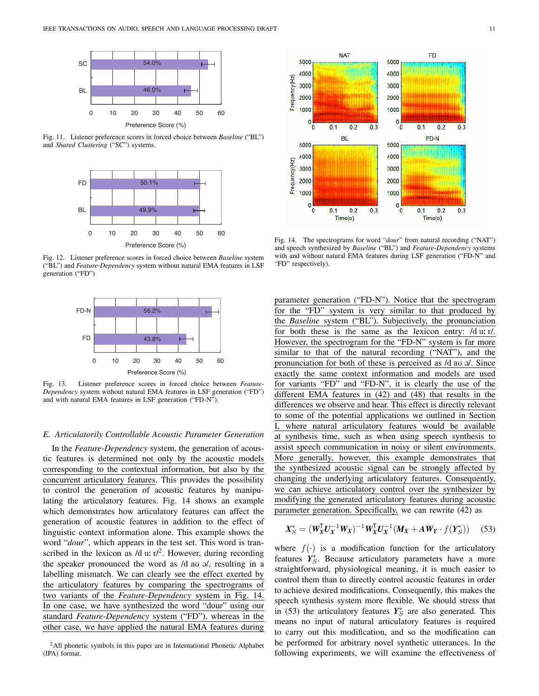

Fig. 11. Listener preference scores in forced choice between *Baseline* ("BL") and *Shared Clustering* ("SC") systems.



Fig. 12. Listener preference scores in forced choice between *Baseline* system ("BL") and *Feature-Dependency* system without natural EMA features in LSF generation ("FD")



Fig. 13. Listener preference scores in forced choice between *Feature-Dependency* system without natural EMA features in LSF generation ("FD") and with natural EMA features in LSF generation ("FD-N").

#### *E. Articulatorily Controllable Acoustic Parameter Generation*

In the *Feature-Dependency* system, the generation of acoustic features is determined not only by the acoustic models corresponding to the contextual information, but also by the concurrent articulatory features. This provides the possibility to control the generation of acoustic features by manipulating the articulatory features. Fig. 14 shows an example which demonstrates how articulatory features can affect the generation of acoustic features in addition to the effect of linguistic context information alone. This example shows the word "*dour*", which appears in the test set. This word is transcribed in the lexicon as  $/d \, u$ :  $\text{r}/2$ . However, during recording the speaker pronounced the word as  $/d$  au  $\theta$ , resulting in a labelling mismatch. We can clearly see the effect exerted by the articulatory features by comparing the spectrograms of two variants of the *Feature-Dependency* system in Fig. 14. In one case, we have synthesized the word "dour" using our standard *Feature-Dependency* system ("FD"), whereas in the other case, we have applied the natural EMA features during





Fig. 14. The spectrograms for word "*dour*" from natural recording ("NAT") and speech synthesized by *Baseline* ("BL") and *Feature-Dependency* systems with and without natural EMA features during LSF generation ("FD-N" and "FD" respectively).

parameter generation ("FD-N"). Notice that the spectrogram for the "FD" system is very similar to that produced by the *Baseline* system ("BL"). Subjectively, the pronunciation for both these is the same as the lexicon entry: /d u: r/. However, the spectrogram for the "FD-N" system is far more similar to that of the natural recording ("NAT"), and the pronunciation for both of these is perceived as  $/d$  au  $\mathcal{A}$ . Since exactly the same context information and models are used for variants "FD" and "FD-N", it is clearly the use of the different EMA features in (42) and (48) that results in the differences we observe and hear. This effect is directly relevant to some of the potential applications we outlined in Section where natural articulatory features would be available at synthesis time, such as when using speech synthesis to assist speech communication in noisy or silent environments. More generally, however, this example demonstrates that the synthesized acoustic signal can be strongly affected by changing the underlying articulatory features. Consequently, we can achieve articulatory control over the synthesizer by modifying the generated articulatory features during acoustic parameter generation. Specifically, we can rewrite (42) as

$$
X_{S}^{*} = (W_{X}^{T}U_{X}^{-1}W_{X})^{-1}W_{X}^{T}U_{X}^{-1}(M_{X} + AW_{Y} \cdot f(Y_{S}^{*})) \quad (53)
$$

where  $f(\cdot)$  is a modification function for the articulatory features  $Y_{S}^{*}$ . Because articulatory parameters have a more straightforward, physiological meaning, it is much easier to control them than to directly control acoustic features in order to achieve desired modifications. Consequently, this makes the speech synthesis system more flexible. We should stress that in (53) the articulatory features  $Y_S^*$  are also generated. This means no input of natural articulatory features is required to carry out this modification, and so the modification can be performed for arbitrary novel synthetic utterances. In the following experiments, we will examine the effectiveness of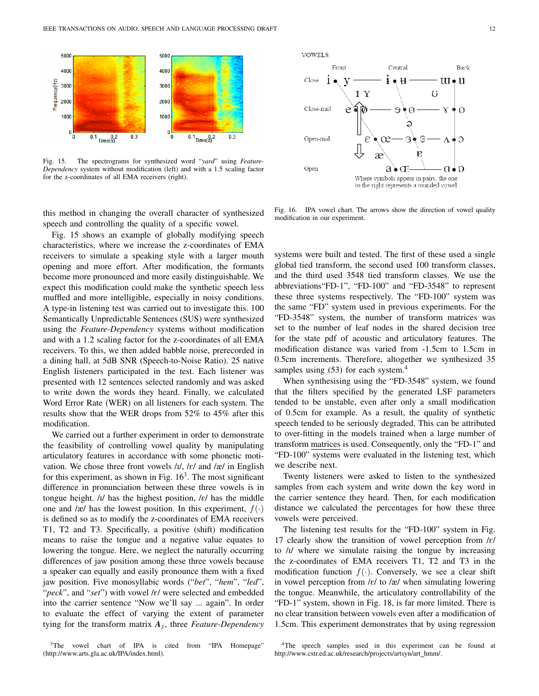

Fig. 15. The spectrograms for synthesized word "*yard*" using *Feature-Dependency* system without modification (left) and with a 1.5 scaling factor for the z-coordinates of all EMA receivers (right).

this method in changing the overall character of synthesized speech and controlling the quality of a specific vowel.

Fig. 15 shows an example of globally modifying speech characteristics, where we increase the z-coordinates of EMA receivers to simulate a speaking style with a larger mouth opening and more effort. After modification, the formants become more pronounced and more easily distinguishable. We expect this modification could make the synthetic speech less muffled and more intelligible, especially in noisy conditions. A type-in listening test was carried out to investigate this. 100 Semantically Unpredictable Sentences (SUS) were synthesized using the *Feature-Dependency* systems without modification and with a 1.2 scaling factor for the z-coordinates of all EMA receivers. To this, we then added babble noise, prerecorded in a dining hall, at 5dB SNR (Speech-to-Noise Ratio). 25 native English listeners participated in the test. Each listener was presented with 12 sentences selected randomly and was asked to write down the words they heard. Finally, we calculated Word Error Rate (WER) on all listeners for each system. The results show that the WER drops from 52% to 45% after this modification.

We carried out a further experiment in order to demonstrate the feasibility of controlling vowel quality by manipulating articulatory features in accordance with some phonetic motivation. We chose three front vowels /I/, /E/ and /æ/ in English for this experiment, as shown in Fig.  $16<sup>3</sup>$ . The most significant difference in pronunciation between these three vowels is in tongue height.  $/I$  has the highest position,  $\ell$  has the middle one and /æ/ has the lowest position. In this experiment,  $f(\cdot)$ is defined so as to modify the z-coordinates of EMA receivers T1, T2 and T3. Specifically, a positive (shift) modification means to raise the tongue and a negative value equates to lowering the tongue. Here, we neglect the naturally occurring differences of jaw position among these three vowels because a speaker can equally and easily pronounce them with a fixed jaw position. Five monosyllabic words ("*bet*", "*hem*", "*led*", "*peck*", and "*set*") with vowel /E/ were selected and embedded into the carrier sentence "Now we'll say ... again". In order to evaluate the effect of varying the extent of parameter tying for the transform matrix  $A_i$ , three *Feature-Dependency* 

<sup>3</sup>The vowel chart of IPA is cited from "IPA Homepage" (http://www.arts.gla.ac.uk/IPA/index.html).





Fig. 16. IPA vowel chart. The arrows show the direction of vowel quality modification in our experiment.

systems were built and tested. The first of these used a single global tied transform, the second used 100 transform classes, and the third used 3548 tied transform classes. We use the abbreviations"FD-1", "FD-100" and "FD-3548" to represent these three systems respectively. The "FD-100" system was the same "FD" system used in previous experiments. For the "FD-3548" system, the number of transform matrices was set to the number of leaf nodes in the shared decision tree for the state pdf of acoustic and articulatory features. The modification distance was varied from -1.5cm to 1.5cm in 0.5cm increments. Therefore, altogether we synthesized 35 samples using (53) for each system.<sup>4</sup>

When synthesising using the "FD-3548" system, we found that the filters specified by the generated LSF parameters tended to be unstable, even after only a small modification of 0.5cm for example. As a result, the quality of synthetic speech tended to be seriously degraded. This can be attributed to over-fitting in the models trained when a large number of transform matrices is used. Consequently, only the "FD-1" and "FD-100" systems were evaluated in the listening test, which we describe next.

Twenty listeners were asked to listen to the synthesized samples from each system and write down the key word in the carrier sentence they heard. Then, for each modification distance we calculated the percentages for how these three vowels were perceived.

The listening test results for the "FD-100" system in Fig. 17 clearly show the transition of vowel perception from  $\frac{\ell}{\ell}$ to /I/ where we simulate raising the tongue by increasing the z-coordinates of EMA receivers T1, T2 and T3 in the modification function  $f(\cdot)$ . Conversely, we see a clear shift in vowel perception from  $\frac{\ell}{\ell}$  to  $\frac{\ell}{\ell}$  when simulating lowering the tongue. Meanwhile, the articulatory controllability of the "FD-1" system, shown in Fig. 18, is far more limited. There is no clear transition between vowels even after a modification of 1.5cm. This experiment demonstrates that by using regression

<sup>4</sup>The speech samples used in this experiment can be found at http://www.cstr.ed.ac.uk/research/projects/artsyn/art\_hmm/.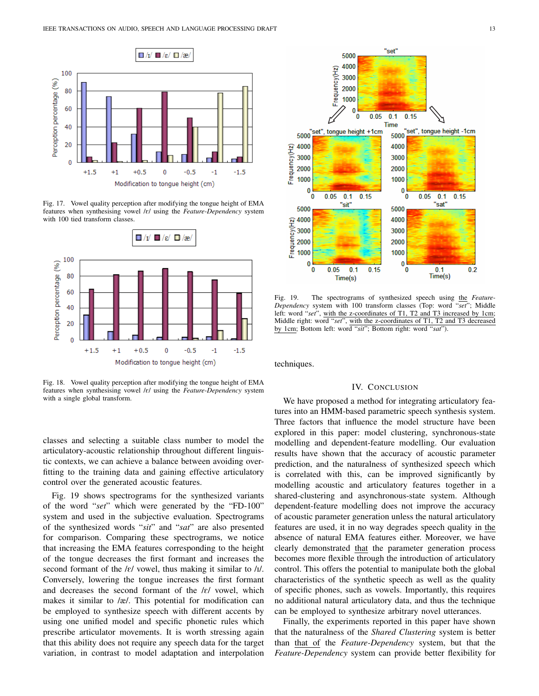

Fig. 17. Vowel quality perception after modifying the tongue height of EMA features when synthesising vowel /E/ using the *Feature-Dependency* system with 100 tied transform classes.



Fig. 18. Vowel quality perception after modifying the tongue height of EMA features when synthesising vowel /E/ using the *Feature-Dependency* system with a single global transform.

classes and selecting a suitable class number to model the articulatory-acoustic relationship throughout different linguistic contexts, we can achieve a balance between avoiding overfitting to the training data and gaining effective articulatory control over the generated acoustic features.

Fig. 19 shows spectrograms for the synthesized variants of the word "*set*" which were generated by the "FD-100" system and used in the subjective evaluation. Spectrograms of the synthesized words "*sit*" and "*sat*" are also presented for comparison. Comparing these spectrograms, we notice that increasing the EMA features corresponding to the height of the tongue decreases the first formant and increases the second formant of the  $\frac{\ell}{\ell}$  vowel, thus making it similar to  $\frac{\ell}{\ell}$ . Conversely, lowering the tongue increases the first formant and decreases the second formant of the  $\ell$  vowel, which makes it similar to /æ/. This potential for modification can be employed to synthesize speech with different accents by using one unified model and specific phonetic rules which prescribe articulator movements. It is worth stressing again that this ability does not require any speech data for the target variation, in contrast to model adaptation and interpolation



Fig. 19. The spectrograms of synthesized speech using the *Feature-Dependency* system with 100 transform classes (Top: word "*set*"; Middle left: word "*set*", with the z-coordinates of T1, T2 and T3 increased by 1cm; Middle right: word "*set*", with the z-coordinates of T1, T2 and T3 decreased by 1cm; Bottom left: word "*sit*"; Bottom right: word "*sat*").

techniques.

#### IV. CONCLUSION

We have proposed a method for integrating articulatory features into an HMM-based parametric speech synthesis system. Three factors that influence the model structure have been explored in this paper: model clustering, synchronous-state modelling and dependent-feature modelling. Our evaluation results have shown that the accuracy of acoustic parameter prediction, and the naturalness of synthesized speech which is correlated with this, can be improved significantly by modelling acoustic and articulatory features together in a shared-clustering and asynchronous-state system. Although dependent-feature modelling does not improve the accuracy of acoustic parameter generation unless the natural articulatory features are used, it in no way degrades speech quality in the absence of natural EMA features either. Moreover, we have clearly demonstrated that the parameter generation process becomes more flexible through the introduction of articulatory control. This offers the potential to manipulate both the global characteristics of the synthetic speech as well as the quality of specific phones, such as vowels. Importantly, this requires no additional natural articulatory data, and thus the technique can be employed to synthesize arbitrary novel utterances.

Finally, the experiments reported in this paper have shown that the naturalness of the *Shared Clustering* system is better than that of the *Feature-Dependency* system, but that the *Feature-Dependency* system can provide better flexibility for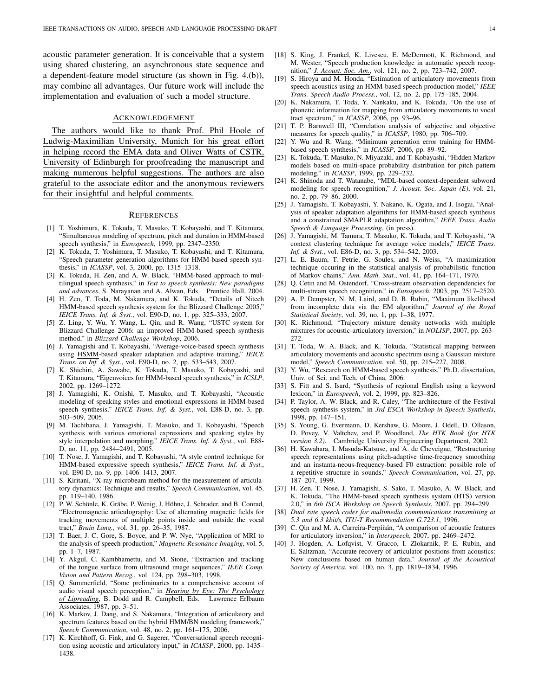acoustic parameter generation. It is conceivable that a system using shared clustering, an asynchronous state sequence and a dependent-feature model structure (as shown in Fig. 4.(b)), may combine all advantages. Our future work will include the implementation and evaluation of such a model structure.

#### ACKNOWLEDGEMENT

The authors would like to thank Prof. Phil Hoole of Ludwig-Maximilian University, Munich for his great effort in helping record the EMA data and Oliver Watts of CSTR, University of Edinburgh for proofreading the manuscript and making numerous helpful suggestions. The authors are also grateful to the associate editor and the anonymous reviewers for their insightful and helpful comments.

#### **REFERENCES**

- [1] T. Yoshimura, K. Tokuda, T. Masuko, T. Kobayashi, and T. Kitamura, "Simultaneous modeling of spectrum, pitch and duration in HMM-based speech synthesis," in *Eurospeech*, 1999, pp. 2347–2350.
- [2] K. Tokuda, T. Yoshimura, T. Masuko, T. Kobayashi, and T. Kitamura, "Speech parameter generation algorithms for HMM-based speech synthesis," in *ICASSP*, vol. 3, 2000, pp. 1315–1318.
- [3] K. Tokuda, H. Zen, and A. W. Black, "HMM-based approach to multilingual speech synthesis," in *Text to speech synthesis: New paradigms and advances*, S. Narayanan and A. Alwan, Eds. Prentice Hall, 2004.
- [4] H. Zen, T. Toda, M. Nakamura, and K. Tokuda, "Details of Nitech HMM-based speech synthesis system for the Blizzard Challenge 2005," *IEICE Trans. Inf. & Syst.*, vol. E90-D, no. 1, pp. 325–333, 2007.
- [5] Z. Ling, Y. Wu, Y. Wang, L. Qin, and R. Wang, "USTC system for Blizzard Challenge 2006: an improved HMM-based speech synthesis method," in *Blizzard Challenge Workshop*, 2006.
- [6] J. Yamagishi and T. Kobayashi, "Average-voice-based speech synthesis using HSMM-based speaker adaptation and adaptive training," *IEICE Trans. on Inf. & Syst.*, vol. E90-D, no. 2, pp. 533–543, 2007.
- [7] K. Shichiri, A. Sawabe, K. Tokuda, T. Masuko, T. Kobayashi, and T. Kitamura, "Eigenvoices for HMM-based speech synthesis," in *ICSLP*, 2002, pp. 1269–1272.
- [8] J. Yamagishi, K. Onishi, T. Masuko, and T. Kobayashi, "Acoustic modeling of speaking styles and emotional expressions in HMM-based speech synthesis," *IEICE Trans. Inf. & Syst.*, vol. E88-D, no. 3, pp. 503–509, 2005.
- [9] M. Tachibana, J. Yamagishi, T. Masuko, and T. Kobayashi, "Speech synthesis with various emotional expressions and speaking styles by style interpolation and morphing," *IEICE Trans. Inf. & Syst.*, vol. E88- D, no. 11, pp. 2484–2491, 2005.
- [10] T. Nose, J. Yamagishi, and T. Kobayashi, "A style control technique for HMM-based expressive speech synthesis," *IEICE Trans. Inf. & Syst.*, vol. E90-D, no. 9, pp. 1406–1413, 2007.
- [11] S. Kiritani, "X-ray microbeam method for the measurement of articulatory dynamics: Technique and results," *Speech Communication*, vol. 45, pp. 119–140, 1986.
- [12] P. W. Schönle, K. Gräbe, P. Wenig, J. Höhne, J. Schrader, and B. Conrad, "Electromagnetic articulography: Use of alternating magnetic fields for tracking movements of multiple points inside and outside the vocal tract," *Brain Lang.*, vol. 31, pp. 26–35, 1987.
- [13] T. Baer, J. C. Gore, S. Boyce, and P. W. Nye, "Application of MRI to the analysis of speech production," *Magnetic Resonance Imaging*, vol. 5, pp. 1–7, 1987.
- [14] Y. Akgul, C. Kambhamettu, and M. Stone, "Extraction and tracking of the tongue surface from ultrasound image sequences," *IEEE Comp. Vision and Pattern Recog.*, vol. 124, pp. 298–303, 1998.
- [15] Q. Summerfield, "Some preliminaries to a comprehensive account of audio visual speech perception," in *Hearing by Eye: The Psychology of Lipreading*, B. Dodd and R. Campbell, Eds. Lawrence Erlbaum Associates, 1987, pp. 3–51.
- [16] K. Markov, J. Dang, and S. Nakamura, "Integration of articulatory and spectrum features based on the hybrid HMM/BN modeling framework," *Speech Communication*, vol. 48, no. 2, pp. 161–175, 2006.
- [17] K. Kirchhoff, G. Fink, and G. Sagerer, "Conversational speech recognition using acoustic and articulatory input," in *ICASSP*, 2000, pp. 1435– 1438.
- [18] S. King, J. Frankel, K. Livescu, E. McDermott, K. Richmond, and M. Wester, "Speech production knowledge in automatic speech recognition," *J. Acoust. Soc. Am.*, vol. 121, no. 2, pp. 723–742, 2007.
- [19] S. Hiroya and M. Honda, "Estimation of articulatory movements from speech acoustics using an HMM-based speech production model," *IEEE Trans. Speech Audio Process.*, vol. 12, no. 2, pp. 175–185, 2004.
- [20] K. Nakamura, T. Toda, Y. Nankaku, and K. Tokuda, "On the use of phonetic information for mapping from articulatory movements to vocal tract spectrum," in *ICASSP*, 2006, pp. 93–96.
- [21] T. P. Barnwell III, "Correlation analysis of subjective and objective measures for speech quality," in *ICASSP*, 1980, pp. 706–709.
- [22] Y. Wu and R. Wang, "Minimum generation error training for HMMbased speech synthesis," in *ICASSP*, 2006, pp. 89–92.
- [23] K. Tokuda, T. Masuko, N. Miyazaki, and T. Kobayashi, "Hidden Markov models based on multi-space probability distribution for pitch pattern modeling," in *ICASSP*, 1999, pp. 229–232.
- [24] K. Shinoda and T. Watanabe, "MDL-based context-dependent subword modeling for speech recognition," *J. Acoust. Soc. Japan (E)*, vol. 21, no. 2, pp. 79–86, 2000.
- [25] J. Yamagishi, T. Kobayashi, Y. Nakano, K. Ogata, and J. Isogai, "Analysis of speaker adaptation algorithms for HMM-based speech synthesis and a constrained SMAPLR adaptation algorithm," *IEEE Trans. Audio Speech & Language Processing*, (in press).
- [26] J. Yamagishi, M. Tamura, T. Masuko, K. Tokuda, and T. Kobayashi, "A context clustering technique for average voice models," *IEICE Trans. Inf. & Syst.*, vol. E86-D, no. 3, pp. 534–542, 2003.
- [27] L. E. Baum, T. Petrie, G. Soules, and N. Weiss, "A maximization technique occuring in the statistical analysis of probabilistic function of Markov chains," *Ann. Math. Stat.*, vol. 41, pp. 164–171, 1970.
- [28] O. Cetin and M. Ostendorf, "Cross-stream observation dependencies for multi-stream speech recognition," in *Eurospeech*, 2003, pp. 2517–2520.
- [29] A. P. Dempster, N. M. Laird, and D. B. Rubin, "Maximum likelihood from incomplete data via the EM algorithm," *Journal of the Royal Statistical Society*, vol. 39, no. 1, pp. 1–38, 1977.
- [30] K. Richmond, "Trajectory mixture density networks with multiple mixtures for acoustic-articulatory inversion," in *NOLISP*, 2007, pp. 263– 272.
- [31] T. Toda, W. A. Black, and K. Tokuda, "Statistical mapping between articulatory movements and acoustic spectrum using a Gaussian mixture model," *Speech Communication*, vol. 50, pp. 215–227, 2008.
- [32] Y. Wu, "Research on HMM-based speech synthesis," Ph.D. dissertation, Univ. of Sci. and Tech. of China, 2006.
- [33] S. Fitt and S. Isard, "Synthesis of regional English using a keyword lexicon," in *Eurospeech*, vol. 2, 1999, pp. 823–826.
- [34] P. Taylor, A. W. Black, and R. Caley, "The architecture of the Festival speech synthesis system," in *3rd ESCA Workshop in Speech Synthesis*, 1998, pp. 147–151.
- [35] S. Young, G. Evermann, D. Kershaw, G. Moore, J. Odell, D. Ollason, D. Povey, V. Valtchev, and P. Woodland, *The HTK Book (for HTK version 3.2)*. Cambridge University Engineering Department, 2002.
- [36] H. Kawahara, I. Masuda-Katsuse, and A. de Cheveigne, "Restructuring speech representations using pitch-adaptive time-frequency smoothing and an instanta-neous-frequency-based F0 extraction: possible role of a repetitive structure in sounds," *Speech Communication*, vol. 27, pp. 187–207, 1999.
- [37] H. Zen, T. Nose, J. Yamagishi, S. Sako, T. Masuko, A. W. Black, and K. Tokuda, "The HMM-based speech synthesis system (HTS) version 2.0," in *6th ISCA Workshop on Speech Synthesis*, 2007, pp. 294–299.
- [38] *Dual rate speech coder for multimedia communications transmitting at 5.3 and 6.3 kbit/s, ITU-T Recommendation G.723.1*, 1996.
- [39] C. Qin and M. A. Carreira-Perpiñán, "A comparison of acoustic features for articulatory inversion," in *Interspeech*, 2007, pp. 2469–2472.
- [40] J. Hogden, A. Lofqvist, V. Gracco, I. Zlokarnik, P. E. Rubin, and E. Saltzman, "Accurate recovery of articulator positions from acoustics: New conclusions based on human data," *Journal of the Acoustical Society of America*, vol. 100, no. 3, pp. 1819–1834, 1996.